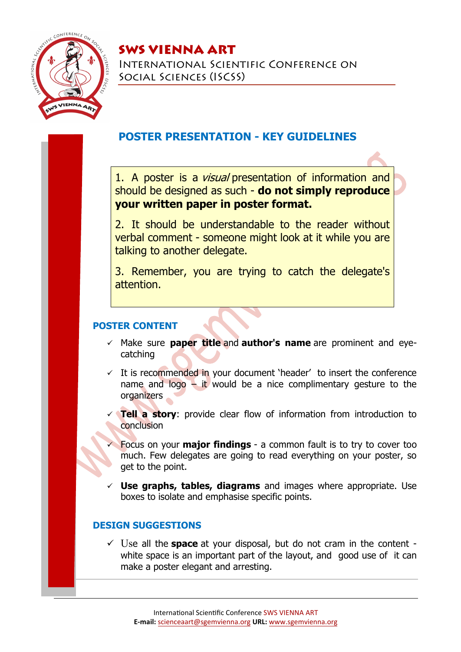

# SWS VIENNA ART

International Scientific Conference on Social Sciences (ISCSS)

## **POSTER PRESENTATION - KEY GUIDELINES**

1. A poster is a *visual* presentation of information and should be designed as such - **do not simply reproduce your written paper in poster format.**

2. It should be understandable to the reader without verbal comment - someone might look at it while you are talking to another delegate.

3. Remember, you are trying to catch the delegate's attention.

## **POSTER CONTENT**

- Make sure **paper title** and **author's name** are prominent and eyecatching
- $\checkmark$  It is recommended in your document 'header' to insert the conference name and logo  $\overline{-}$  it would be a nice complimentary gesture to the organizers
- **Tell a story**: provide clear flow of information from introduction to conclusion
- Focus on your **major findings** a common fault is to try to cover too much. Few delegates are going to read everything on your poster, so get to the point.
- **Use graphs, tables, diagrams** and images where appropriate. Use boxes to isolate and emphasise specific points.

### **DESIGN SUGGESTIONS**

 Use all the **space** at your disposal, but do not cram in the content white space is an important part of the layout, and good use of it can make a poster elegant and arresting.